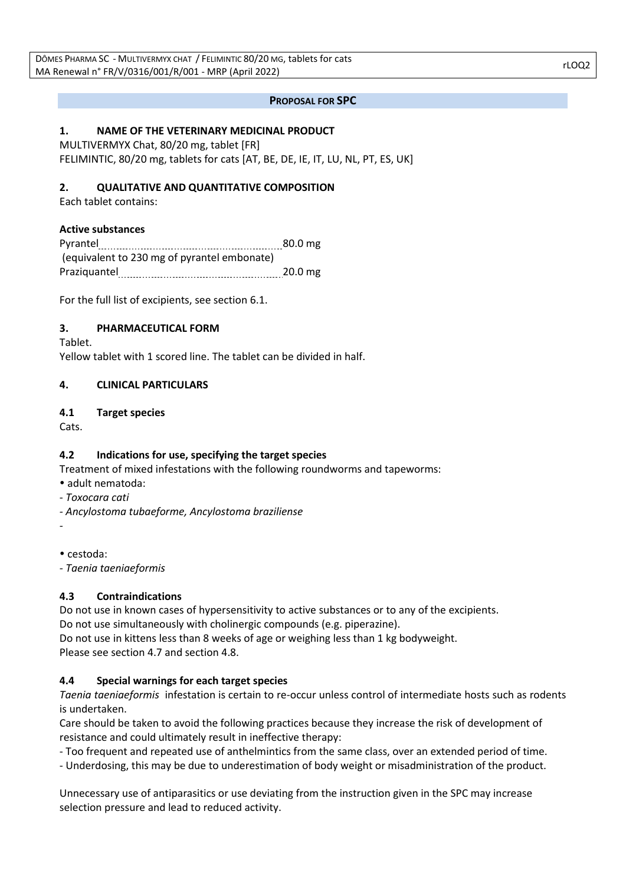### **PROPOSAL FOR SPC**

# **1. NAME OF THE VETERINARY MEDICINAL PRODUCT**

MULTIVERMYX Chat, 80/20 mg, tablet [FR] FELIMINTIC, 80/20 mg, tablets for cats [AT, BE, DE, IE, IT, LU, NL, PT, ES, UK]

### **2. QUALITATIVE AND QUANTITATIVE COMPOSITION**

Each tablet contains:

### **Active substances**

Pyrantel 20.0 mg (equivalent to 230 mg of pyrantel embonate) Praziquantel 20.0 mg

For the full list of excipients, see section 6.1.

### **3. PHARMACEUTICAL FORM**

Tablet.

Yellow tablet with 1 scored line. The tablet can be divided in half.

### **4. CLINICAL PARTICULARS**

### **4.1 Target species**

Cats.

# **4.2 Indications for use, specifying the target species**

Treatment of mixed infestations with the following roundworms and tapeworms:

- adult nematoda:
- *Toxocara cati*
- *- Ancylostoma tubaeforme, Ancylostoma braziliense*

*-*

cestoda:

*- Taenia taeniaeformis*

# **4.3 Contraindications**

Do not use in known cases of hypersensitivity to active substances or to any of the excipients. Do not use simultaneously with cholinergic compounds (e.g. piperazine). Do not use in kittens less than 8 weeks of age or weighing less than 1 kg bodyweight.

Please see section 4.7 and section 4.8.

# **4.4 Special warnings for each target species**

*Taenia taeniaeformis* infestation is certain to re-occur unless control of intermediate hosts such as rodents is undertaken.

Care should be taken to avoid the following practices because they increase the risk of development of resistance and could ultimately result in ineffective therapy:

- Too frequent and repeated use of anthelmintics from the same class, over an extended period of time.

- Underdosing, this may be due to underestimation of body weight or misadministration of the product.

Unnecessary use of antiparasitics or use deviating from the instruction given in the SPC may increase selection pressure and lead to reduced activity.

rLOQ2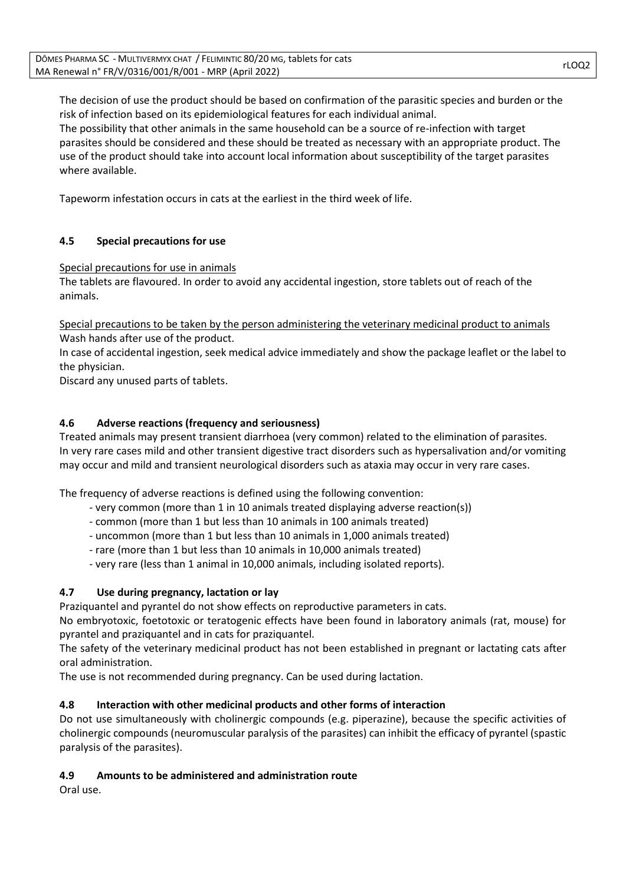The decision of use the product should be based on confirmation of the parasitic species and burden or the risk of infection based on its epidemiological features for each individual animal. The possibility that other animals in the same household can be a source of re-infection with target parasites should be considered and these should be treated as necessary with an appropriate product. The use of the product should take into account local information about susceptibility of the target parasites where available.

Tapeworm infestation occurs in cats at the earliest in the third week of life.

# **4.5 Special precautions for use**

Special precautions for use in animals

The tablets are flavoured. In order to avoid any accidental ingestion, store tablets out of reach of the animals.

Special precautions to be taken by the person administering the veterinary medicinal product to animals Wash hands after use of the product.

In case of accidental ingestion, seek medical advice immediately and show the package leaflet or the label to the physician.

Discard any unused parts of tablets.

# **4.6 Adverse reactions (frequency and seriousness)**

Treated animals may present transient diarrhoea (very common) related to the elimination of parasites. In very rare cases mild and other transient digestive tract disorders such as hypersalivation and/or vomiting may occur and mild and transient neurological disorders such as ataxia may occur in very rare cases.

The frequency of adverse reactions is defined using the following convention:

- very common (more than 1 in 10 animals treated displaying adverse reaction(s))
- common (more than 1 but less than 10 animals in 100 animals treated)
- uncommon (more than 1 but less than 10 animals in 1,000 animals treated)
- rare (more than 1 but less than 10 animals in 10,000 animals treated)
- very rare (less than 1 animal in 10,000 animals, including isolated reports).

# **4.7 Use during pregnancy, lactation or lay**

Praziquantel and pyrantel do not show effects on reproductive parameters in cats.

No embryotoxic, foetotoxic or teratogenic effects have been found in laboratory animals (rat, mouse) for pyrantel and praziquantel and in cats for praziquantel.

The safety of the veterinary medicinal product has not been established in pregnant or lactating cats after oral administration.

The use is not recommended during pregnancy. Can be used during lactation.

# **4.8 Interaction with other medicinal products and other forms of interaction**

Do not use simultaneously with cholinergic compounds (e.g. piperazine), because the specific activities of cholinergic compounds (neuromuscular paralysis of the parasites) can inhibit the efficacy of pyrantel (spastic paralysis of the parasites).

# **4.9 Amounts to be administered and administration route**

Oral use.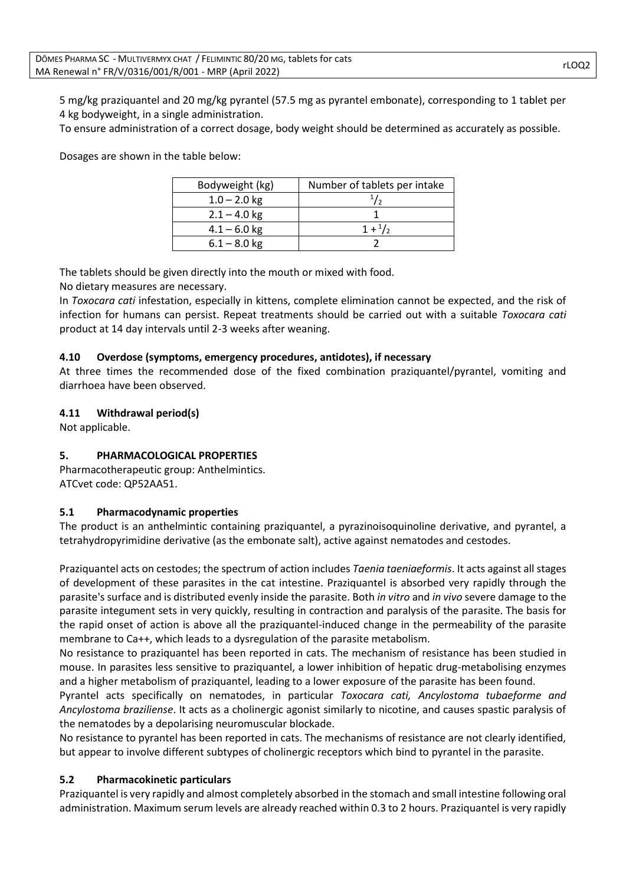5 mg/kg praziquantel and 20 mg/kg pyrantel (57.5 mg as pyrantel embonate), corresponding to 1 tablet per 4 kg bodyweight, in a single administration.

To ensure administration of a correct dosage, body weight should be determined as accurately as possible.

Dosages are shown in the table below:

| Bodyweight (kg) | Number of tablets per intake |
|-----------------|------------------------------|
| $1.0 - 2.0$ kg  |                              |
| $2.1 - 4.0$ kg  |                              |
| $4.1 - 6.0$ kg  | $1 + \frac{1}{2}$            |
| $6.1 - 8.0$ kg  |                              |

The tablets should be given directly into the mouth or mixed with food.

No dietary measures are necessary.

In *Toxocara cati* infestation, especially in kittens, complete elimination cannot be expected, and the risk of infection for humans can persist. Repeat treatments should be carried out with a suitable *Toxocara cati* product at 14 day intervals until 2-3 weeks after weaning.

### **4.10 Overdose (symptoms, emergency procedures, antidotes), if necessary**

At three times the recommended dose of the fixed combination praziquantel/pyrantel, vomiting and diarrhoea have been observed.

### **4.11 Withdrawal period(s)**

Not applicable.

# **5. PHARMACOLOGICAL PROPERTIES**

Pharmacotherapeutic group: Anthelmintics. ATCvet code: QP52AA51.

### **5.1 Pharmacodynamic properties**

The product is an anthelmintic containing praziquantel, a pyrazinoisoquinoline derivative, and pyrantel, a tetrahydropyrimidine derivative (as the embonate salt), active against nematodes and cestodes.

Praziquantel acts on cestodes; the spectrum of action includes *Taenia taeniaeformis*. It acts against all stages of development of these parasites in the cat intestine. Praziquantel is absorbed very rapidly through the parasite's surface and is distributed evenly inside the parasite. Both *in vitro* and *in vivo* severe damage to the parasite integument sets in very quickly, resulting in contraction and paralysis of the parasite. The basis for the rapid onset of action is above all the praziquantel-induced change in the permeability of the parasite membrane to Ca++, which leads to a dysregulation of the parasite metabolism.

No resistance to praziquantel has been reported in cats. The mechanism of resistance has been studied in mouse. In parasites less sensitive to praziquantel, a lower inhibition of hepatic drug-metabolising enzymes and a higher metabolism of praziquantel, leading to a lower exposure of the parasite has been found.

Pyrantel acts specifically on nematodes, in particular *Toxocara cati, Ancylostoma tubaeforme and Ancylostoma braziliense*. It acts as a cholinergic agonist similarly to nicotine, and causes spastic paralysis of the nematodes by a depolarising neuromuscular blockade.

No resistance to pyrantel has been reported in cats. The mechanisms of resistance are not clearly identified, but appear to involve different subtypes of cholinergic receptors which bind to pyrantel in the parasite.

### **5.2 Pharmacokinetic particulars**

Praziquantel is very rapidly and almost completely absorbed in the stomach and small intestine following oral administration. Maximum serum levels are already reached within 0.3 to 2 hours. Praziquantel is very rapidly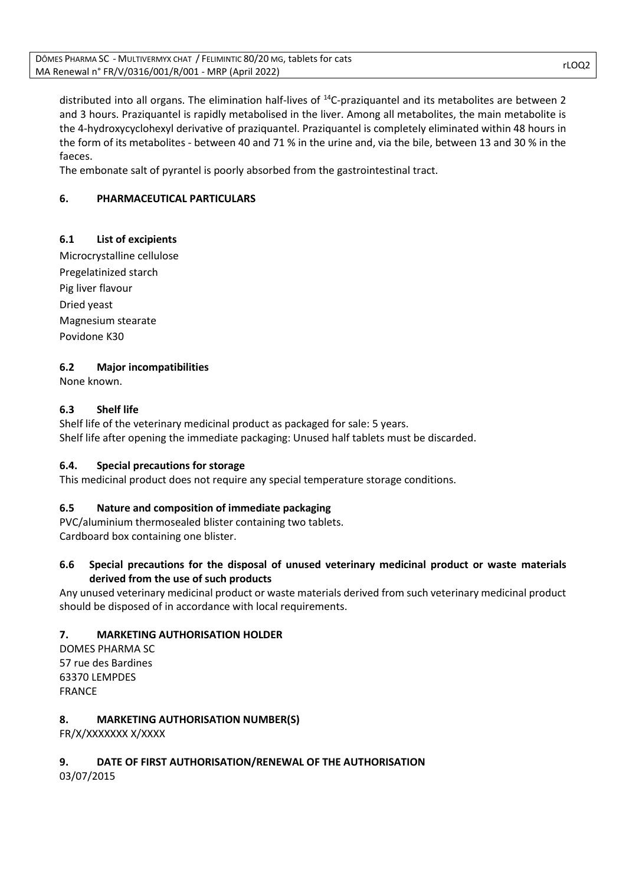distributed into all organs. The elimination half-lives of <sup>14</sup>C-praziquantel and its metabolites are between 2 and 3 hours. Praziquantel is rapidly metabolised in the liver. Among all metabolites, the main metabolite is the 4-hydroxycyclohexyl derivative of praziquantel. Praziquantel is completely eliminated within 48 hours in the form of its metabolites - between 40 and 71 % in the urine and, via the bile, between 13 and 30 % in the faeces.

The embonate salt of pyrantel is poorly absorbed from the gastrointestinal tract.

# **6. PHARMACEUTICAL PARTICULARS**

# **6.1 List of excipients**

Microcrystalline cellulose Pregelatinized starch Pig liver flavour Dried yeast Magnesium stearate Povidone K30

# **6.2 Major incompatibilities**

None known.

# **6.3 Shelf life**

Shelf life of the veterinary medicinal product as packaged for sale: 5 years. Shelf life after opening the immediate packaging: Unused half tablets must be discarded.

# **6.4. Special precautions for storage**

This medicinal product does not require any special temperature storage conditions.

# **6.5 Nature and composition of immediate packaging**

PVC/aluminium thermosealed blister containing two tablets. Cardboard box containing one blister.

# **6.6 Special precautions for the disposal of unused veterinary medicinal product or waste materials derived from the use of such products**

Any unused veterinary medicinal product or waste materials derived from such veterinary medicinal product should be disposed of in accordance with local requirements.

# **7. MARKETING AUTHORISATION HOLDER**

DOMES PHARMA SC 57 rue des Bardines 63370 LEMPDES FRANCE

# **8. MARKETING AUTHORISATION NUMBER(S)**

FR/X/XXXXXXX X/XXXX

# **9. DATE OF FIRST AUTHORISATION/RENEWAL OF THE AUTHORISATION**

03/07/2015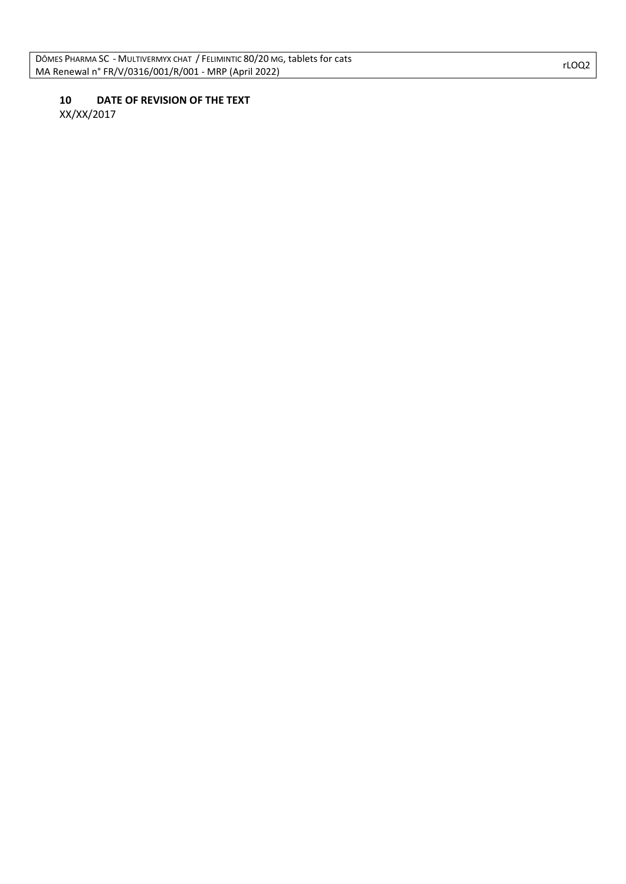# **10 DATE OF REVISION OF THE TEXT**

XX/XX/2017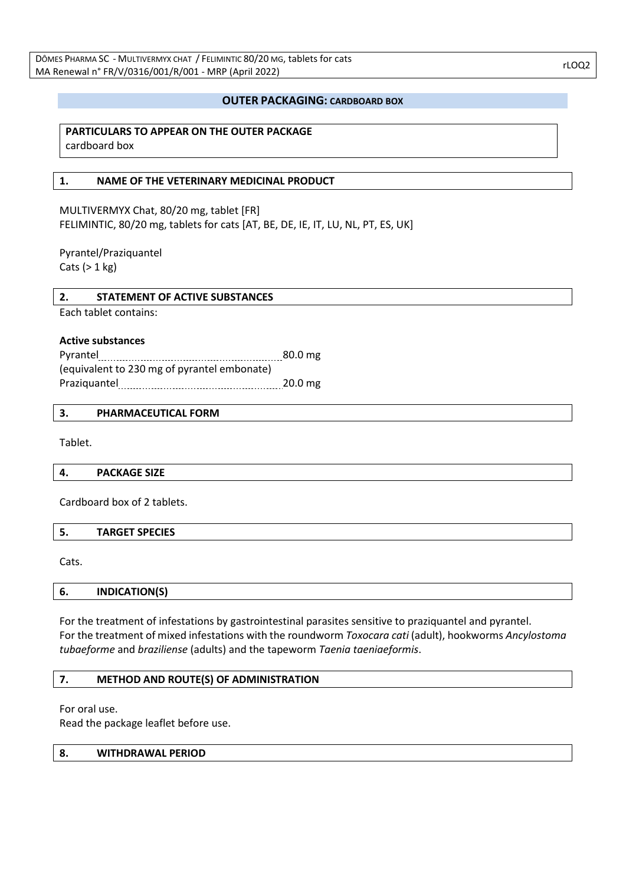### **OUTER PACKAGING: CARDBOARD BOX**

### **PARTICULARS TO APPEAR ON THE OUTER PACKAGE** cardboard box

### **1. NAME OF THE VETERINARY MEDICINAL PRODUCT**

MULTIVERMYX Chat, 80/20 mg, tablet [FR] FELIMINTIC, 80/20 mg, tablets for cats [AT, BE, DE, IE, IT, LU, NL, PT, ES, UK]

Pyrantel/Praziquantel Cats  $(> 1 kg)$ 

### **2. STATEMENT OF ACTIVE SUBSTANCES**

Each tablet contains:

#### **Active substances**

Pyrantel 80.0 mg (equivalent to 230 mg of pyrantel embonate) Praziquantel 20.0 mg

#### **3. PHARMACEUTICAL FORM**

Tablet.

**4. PACKAGE SIZE**

Cardboard box of 2 tablets.

|  | <b>TARGET SPECIES</b> |  |
|--|-----------------------|--|
|--|-----------------------|--|

Cats.

**6. INDICATION(S)**

For the treatment of infestations by gastrointestinal parasites sensitive to praziquantel and pyrantel. For the treatment of mixed infestations with the roundworm *Toxocara cati* (adult), hookworms *Ancylostoma tubaeforme* and *braziliense* (adults) and the tapeworm *Taenia taeniaeformis*.

### **7. METHOD AND ROUTE(S) OF ADMINISTRATION**

For oral use.

Read the package leaflet before use.

#### **8. WITHDRAWAL PERIOD**

rLOQ2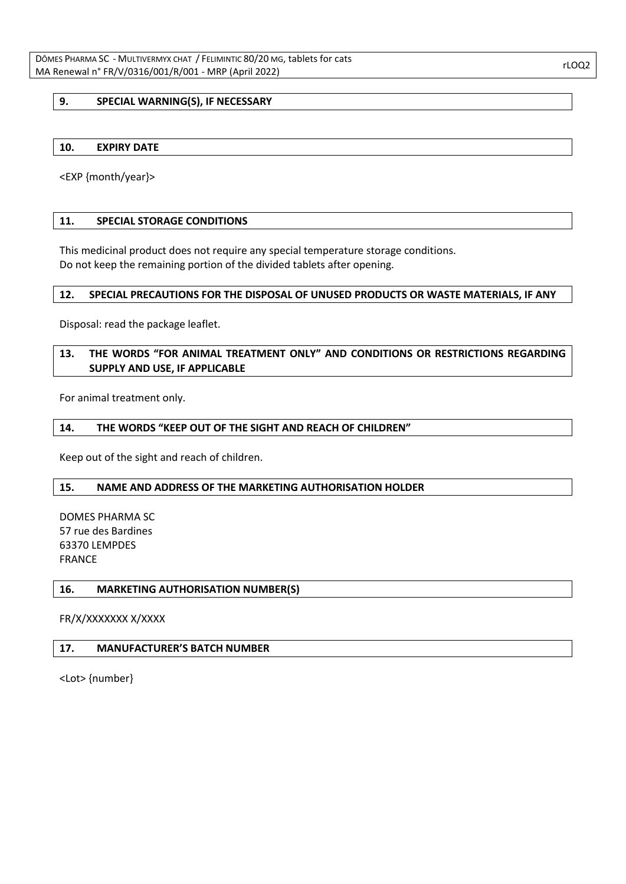### **9. SPECIAL WARNING(S), IF NECESSARY**

#### **10. EXPIRY DATE**

<EXP {month/year}>

#### **11. SPECIAL STORAGE CONDITIONS**

This medicinal product does not require any special temperature storage conditions. Do not keep the remaining portion of the divided tablets after opening.

#### **12. SPECIAL PRECAUTIONS FOR THE DISPOSAL OF UNUSED PRODUCTS OR WASTE MATERIALS, IF ANY**

Disposal: read the package leaflet.

# **13. THE WORDS "FOR ANIMAL TREATMENT ONLY" AND CONDITIONS OR RESTRICTIONS REGARDING SUPPLY AND USE, IF APPLICABLE**

For animal treatment only.

#### **14. THE WORDS "KEEP OUT OF THE SIGHT AND REACH OF CHILDREN"**

Keep out of the sight and reach of children.

#### **15. NAME AND ADDRESS OF THE MARKETING AUTHORISATION HOLDER**

DOMES PHARMA SC 57 rue des Bardines 63370 LEMPDES FRANCE

#### **16. MARKETING AUTHORISATION NUMBER(S)**

FR/X/XXXXXXX X/XXXX

#### **17. MANUFACTURER'S BATCH NUMBER**

<Lot> {number}

rLOQ2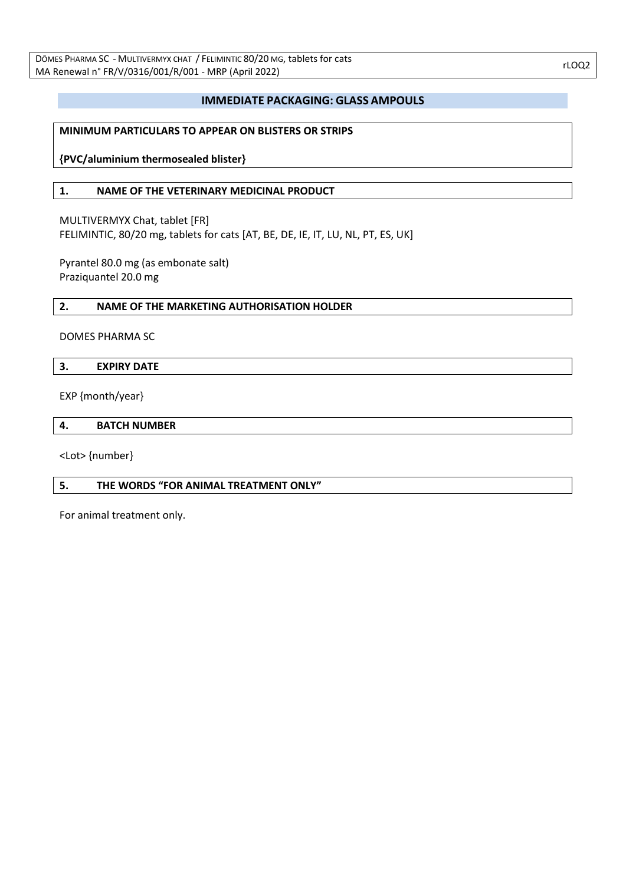### **IMMEDIATE PACKAGING: GLASS AMPOULS**

### **MINIMUM PARTICULARS TO APPEAR ON BLISTERS OR STRIPS**

**{PVC/aluminium thermosealed blister}**

#### **1. NAME OF THE VETERINARY MEDICINAL PRODUCT**

MULTIVERMYX Chat, tablet [FR] FELIMINTIC, 80/20 mg, tablets for cats [AT, BE, DE, IE, IT, LU, NL, PT, ES, UK]

Pyrantel 80.0 mg (as embonate salt) Praziquantel 20.0 mg

#### **2. NAME OF THE MARKETING AUTHORISATION HOLDER**

#### DOMES PHARMA SC

### **3. EXPIRY DATE**

EXP {month/year}

#### **4. BATCH NUMBER**

<Lot> {number}

### **5. THE WORDS "FOR ANIMAL TREATMENT ONLY"**

For animal treatment only.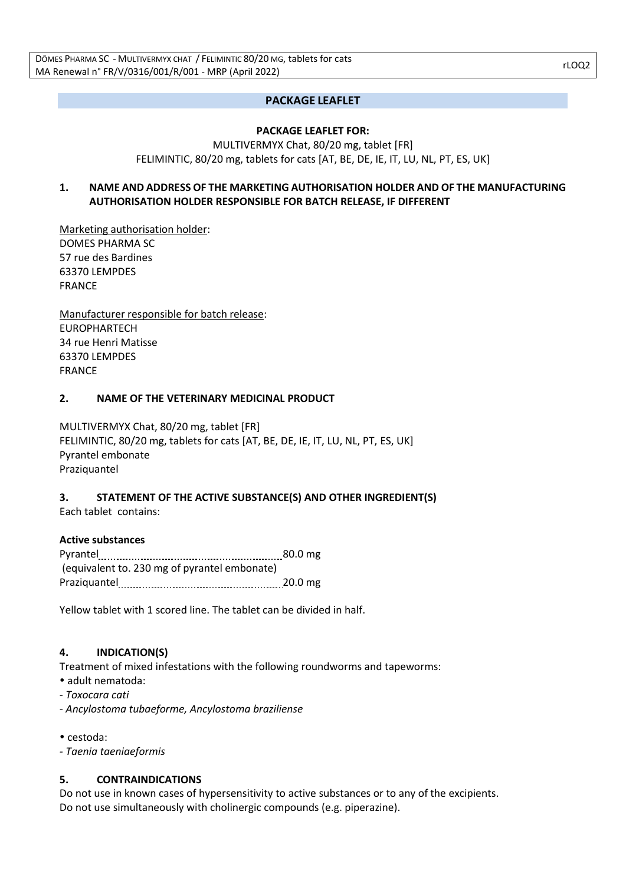# **PACKAGE LEAFLET**

### **PACKAGE LEAFLET FOR:**

### MULTIVERMYX Chat, 80/20 mg, tablet [FR] FELIMINTIC, 80/20 mg, tablets for cats [AT, BE, DE, IE, IT, LU, NL, PT, ES, UK]

# **1. NAME AND ADDRESS OF THE MARKETING AUTHORISATION HOLDER AND OF THE MANUFACTURING AUTHORISATION HOLDER RESPONSIBLE FOR BATCH RELEASE, IF DIFFERENT**

Marketing authorisation holder: DOMES PHARMA SC 57 rue des Bardines 63370 LEMPDES FRANCE

Manufacturer responsible for batch release: EUROPHARTECH 34 rue Henri Matisse 63370 LEMPDES FRANCE

### **2. NAME OF THE VETERINARY MEDICINAL PRODUCT**

MULTIVERMYX Chat, 80/20 mg, tablet [FR] FELIMINTIC, 80/20 mg, tablets for cats [AT, BE, DE, IE, IT, LU, NL, PT, ES, UK] Pyrantel embonate Praziquantel

# **3. STATEMENT OF THE ACTIVE SUBSTANCE(S) AND OTHER INGREDIENT(S)**

Each tablet contains:

### **Active substances**

| Pyrantel                                     | 80.0 <sub>mg</sub> |
|----------------------------------------------|--------------------|
| (equivalent to. 230 mg of pyrantel embonate) |                    |
| Praziquantel                                 | 20.0 <sub>mg</sub> |

Yellow tablet with 1 scored line. The tablet can be divided in half.

# **4. INDICATION(S)**

Treatment of mixed infestations with the following roundworms and tapeworms:

- adult nematoda:
- *Toxocara cati*
- *- Ancylostoma tubaeforme, Ancylostoma braziliense*
- cestoda:
- *- Taenia taeniaeformis*

# **5. CONTRAINDICATIONS**

Do not use in known cases of hypersensitivity to active substances or to any of the excipients. Do not use simultaneously with cholinergic compounds (e.g. piperazine).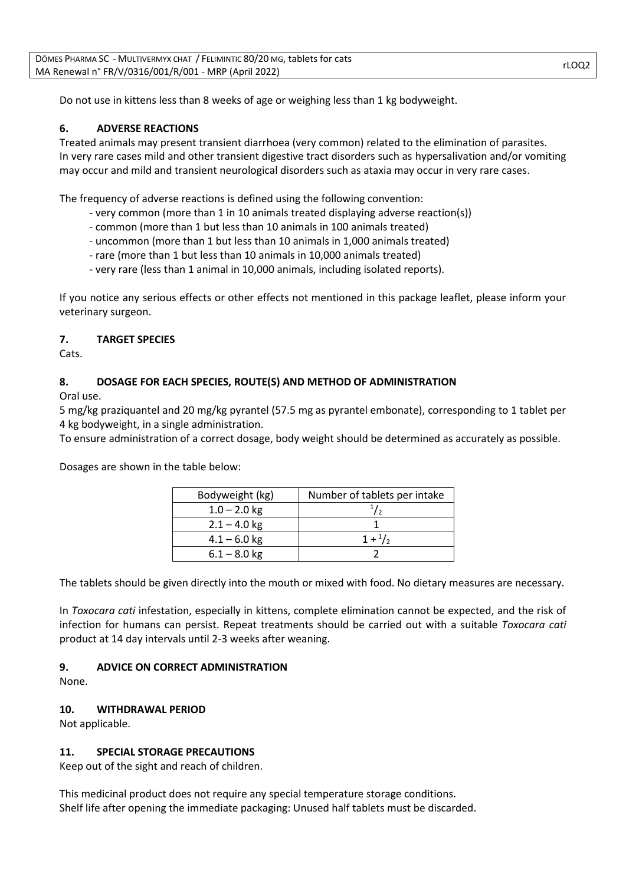Do not use in kittens less than 8 weeks of age or weighing less than 1 kg bodyweight.

### **6. ADVERSE REACTIONS**

Treated animals may present transient diarrhoea (very common) related to the elimination of parasites. In very rare cases mild and other transient digestive tract disorders such as hypersalivation and/or vomiting may occur and mild and transient neurological disorders such as ataxia may occur in very rare cases.

The frequency of adverse reactions is defined using the following convention:

- very common (more than 1 in 10 animals treated displaying adverse reaction(s))
- common (more than 1 but less than 10 animals in 100 animals treated)
- uncommon (more than 1 but less than 10 animals in 1,000 animals treated)
- rare (more than 1 but less than 10 animals in 10,000 animals treated)
- very rare (less than 1 animal in 10,000 animals, including isolated reports).

If you notice any serious effects or other effects not mentioned in this package leaflet, please inform your veterinary surgeon.

### **7. TARGET SPECIES**

Cats.

### **8. DOSAGE FOR EACH SPECIES, ROUTE(S) AND METHOD OF ADMINISTRATION**

Oral use.

5 mg/kg praziquantel and 20 mg/kg pyrantel (57.5 mg as pyrantel embonate), corresponding to 1 tablet per 4 kg bodyweight, in a single administration.

To ensure administration of a correct dosage, body weight should be determined as accurately as possible.

Dosages are shown in the table below:

| Bodyweight (kg) | Number of tablets per intake |
|-----------------|------------------------------|
| $1.0 - 2.0$ kg  |                              |
| $2.1 - 4.0$ kg  |                              |
| $4.1 - 6.0$ kg  | $1 + \frac{1}{2}$            |
| $6.1 - 8.0$ kg  |                              |

The tablets should be given directly into the mouth or mixed with food. No dietary measures are necessary.

In *Toxocara cati* infestation, especially in kittens, complete elimination cannot be expected, and the risk of infection for humans can persist. Repeat treatments should be carried out with a suitable *Toxocara cati* product at 14 day intervals until 2-3 weeks after weaning.

# **9. ADVICE ON CORRECT ADMINISTRATION**

None.

# **10. WITHDRAWAL PERIOD**

Not applicable.

# **11. SPECIAL STORAGE PRECAUTIONS**

Keep out of the sight and reach of children.

This medicinal product does not require any special temperature storage conditions. Shelf life after opening the immediate packaging: Unused half tablets must be discarded.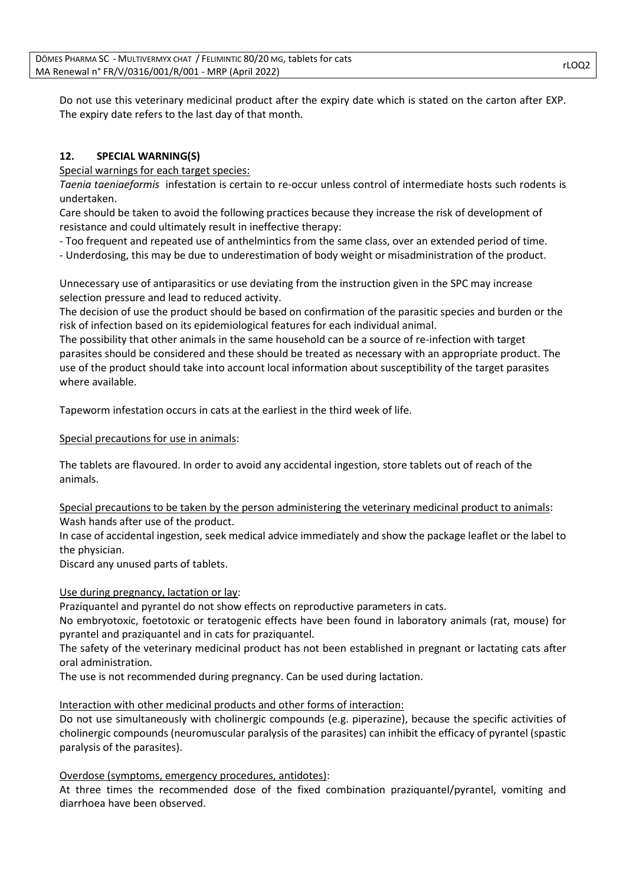Do not use this veterinary medicinal product after the expiry date which is stated on the carton after EXP. The expiry date refers to the last day of that month.

# **12. SPECIAL WARNING(S)**

Special warnings for each target species:

*Taenia taeniaeformis* infestation is certain to re-occur unless control of intermediate hosts such rodents is undertaken.

Care should be taken to avoid the following practices because they increase the risk of development of resistance and could ultimately result in ineffective therapy:

- Too frequent and repeated use of anthelmintics from the same class, over an extended period of time.

- Underdosing, this may be due to underestimation of body weight or misadministration of the product.

Unnecessary use of antiparasitics or use deviating from the instruction given in the SPC may increase selection pressure and lead to reduced activity.

The decision of use the product should be based on confirmation of the parasitic species and burden or the risk of infection based on its epidemiological features for each individual animal.

The possibility that other animals in the same household can be a source of re-infection with target parasites should be considered and these should be treated as necessary with an appropriate product. The use of the product should take into account local information about susceptibility of the target parasites where available.

Tapeworm infestation occurs in cats at the earliest in the third week of life.

Special precautions for use in animals:

The tablets are flavoured. In order to avoid any accidental ingestion, store tablets out of reach of the animals.

Special precautions to be taken by the person administering the veterinary medicinal product to animals: Wash hands after use of the product.

In case of accidental ingestion, seek medical advice immediately and show the package leaflet or the label to the physician.

Discard any unused parts of tablets.

# Use during pregnancy, lactation or lay:

Praziquantel and pyrantel do not show effects on reproductive parameters in cats.

No embryotoxic, foetotoxic or teratogenic effects have been found in laboratory animals (rat, mouse) for pyrantel and praziquantel and in cats for praziquantel.

The safety of the veterinary medicinal product has not been established in pregnant or lactating cats after oral administration.

The use is not recommended during pregnancy. Can be used during lactation.

# Interaction with other medicinal products and other forms of interaction:

Do not use simultaneously with cholinergic compounds (e.g. piperazine), because the specific activities of cholinergic compounds (neuromuscular paralysis of the parasites) can inhibit the efficacy of pyrantel (spastic paralysis of the parasites).

### Overdose (symptoms, emergency procedures, antidotes):

At three times the recommended dose of the fixed combination praziquantel/pyrantel, vomiting and diarrhoea have been observed.